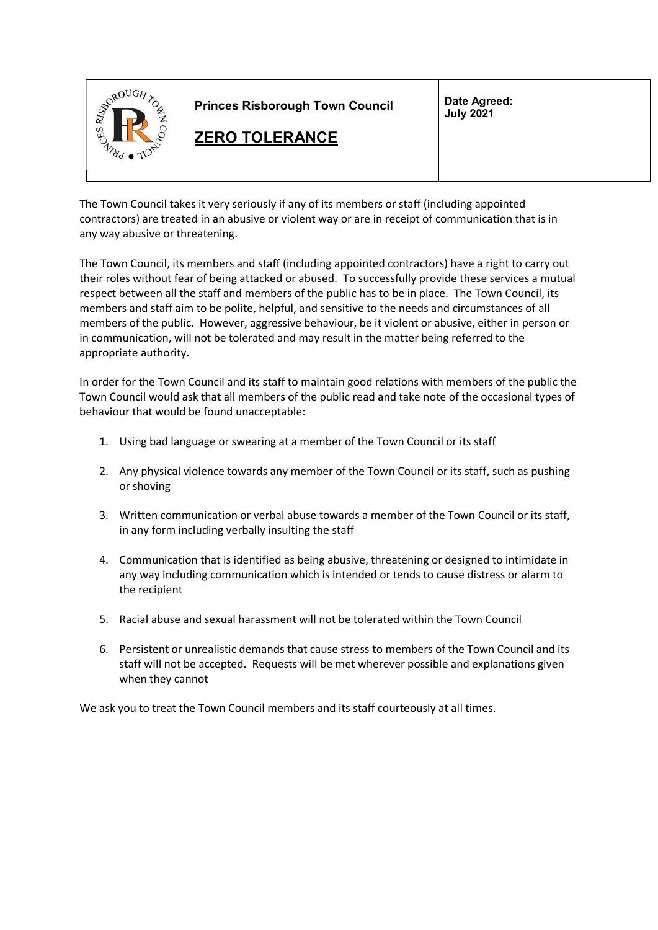

The Town Council takes it very seriously if any of its members or staff (including appointed contractors) are treated in an abusive or violent way or are in receipt of communication that is in any way abusive or threatening.

The Town Council, its members and staff (including appointed contractors) have a right to carry out their roles without fear of being attacked or abused. To successfully provide these services a mutual respect between all the staff and members of the public has to be in place. The Town Council, its members and staff aim to be polite, helpful, and sensitive to the needs and circumstances of all members of the public. However, aggressive behaviour, be it violent or abusive, either in person or in communication, will not be tolerated and may result in the matter being referred to the appropriate authority.

In order for the Town Council and its staff to maintain good relations with members of the public the Town Council would ask that all members of the public read and take note of the occasional types of behaviour that would be found unacceptable:

- 1. Using bad language or swearing at a member of the Town Council or its staff
- 2. Any physical violence towards any member of the Town Council or its staff, such as pushing or shoving
- 3. Written communication or verbal abuse towards a member of the Town Council or its staff, in any form including verbally insulting the staff
- 4. Communication that is identified as being abusive, threatening or designed to intimidate in any way including communication which is intended or tends to cause distress or alarm to the recipient
- 5. Racial abuse and sexual harassment will not be tolerated within the Town Council
- 6. Persistent or unrealistic demands that cause stress to members of the Town Council and its staff will not be accepted. Requests will be met wherever possible and explanations given when they cannot

We ask you to treat the Town Council members and its staff courteously at all times.